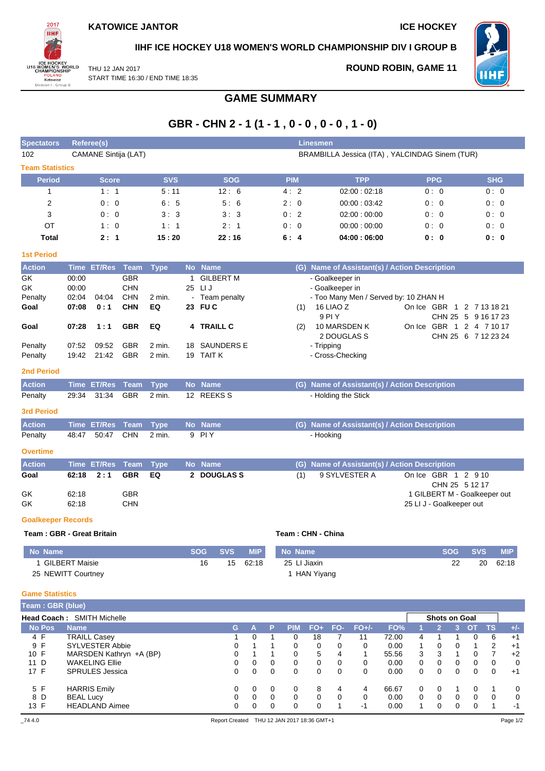

**IIHF ICE HOCKEY U18 WOMEN'S WORLD CHAMPIONSHIP DIV I GROUP B**

WH F

THU 12 JAN 2017 START TIME 16:30 / END TIME 18:35 **ROUND ROBIN, GAME 11**

# **GAME SUMMARY**

# **GBR - CHN 2 - 1 (1 - 1 , 0 - 0 , 0 - 0 , 1 - 0)**

| <b>Spectators</b>          |                | <b>Referee(s)</b>                                 |                          |                    |           |                                |            |                   |        |              |     | Linesmen                       |                |                                                |               |                          |                |                |                              |                     |              |
|----------------------------|----------------|---------------------------------------------------|--------------------------|--------------------|-----------|--------------------------------|------------|-------------------|--------|--------------|-----|--------------------------------|----------------|------------------------------------------------|---------------|--------------------------|----------------|----------------|------------------------------|---------------------|--------------|
| 102                        |                | <b>CAMANE Sintija (LAT)</b>                       |                          |                    |           |                                |            |                   |        |              |     |                                |                | BRAMBILLA Jessica (ITA), YALCINDAG Sinem (TUR) |               |                          |                |                |                              |                     |              |
| <b>Team Statistics</b>     |                |                                                   |                          |                    |           |                                |            |                   |        |              |     |                                |                |                                                |               |                          |                |                |                              |                     |              |
| <b>Period</b>              |                | <b>Score</b>                                      |                          | <b>SVS</b>         |           |                                | <b>SOG</b> |                   |        | <b>PIM</b>   |     |                                |                | <b>TPP</b>                                     |               |                          | <b>PPG</b>     |                |                              | <b>SHG</b>          |              |
| $\mathbf{1}$               |                | 1:1                                               |                          | 5:11               |           |                                | 12:6       |                   |        | 4:2          |     |                                |                | 02:00:02:18                                    |               |                          | 0:0            |                |                              | 0:0                 |              |
| $\overline{2}$             |                | 0:0                                               |                          | 6:5                |           |                                | 5:6        |                   |        | 2:0          |     |                                |                | 00:00:03:42                                    |               |                          | 0:0            |                |                              | 0:0                 |              |
| 3                          |                | 0:0                                               |                          | 3:3                |           |                                | 3:3        |                   |        | 0:2          |     |                                |                | 02:00:00:00                                    |               |                          | 0:0            |                |                              | 0:0                 |              |
| OT                         |                | 1:0                                               |                          | 1:1                |           |                                | 2:1        |                   |        | 0:0          |     |                                |                | 00:00:00:00                                    |               |                          | 0:0            |                |                              | 0:0                 |              |
| <b>Total</b>               |                | 2:1                                               |                          | 15:20              |           |                                | 22:16      |                   |        | 6:4          |     |                                |                | 04:00:06:00                                    |               |                          | 0: 0           |                |                              | 0: 0                |              |
| <b>1st Period</b>          |                |                                                   |                          |                    |           |                                |            |                   |        |              |     |                                |                |                                                |               |                          |                |                |                              |                     |              |
| <b>Action</b>              | Time           | <b>ET/Res</b>                                     | <b>Team</b>              | <b>Type</b>        |           | No Name                        |            |                   |        |              |     |                                |                | (G) Name of Assistant(s) / Action Description  |               |                          |                |                |                              |                     |              |
| GK                         | 00:00          |                                                   | <b>GBR</b>               |                    | 1         | <b>GILBERT M</b>               |            |                   |        |              |     | - Goalkeeper in                |                |                                                |               |                          |                |                |                              |                     |              |
| GK                         | 00:00          |                                                   | <b>CHN</b>               |                    |           | 25 LIJ                         |            |                   |        |              |     | - Goalkeeper in                |                |                                                |               |                          |                |                |                              |                     |              |
| Penalty<br>Goal            | 02:04<br>07:08 | 04:04<br>0:1                                      | <b>CHN</b><br><b>CHN</b> | 2 min.<br>EQ       | $\sim$    | Team penalty<br>23 FU C        |            |                   |        |              | (1) |                                | 16 LIAO Z      | - Too Many Men / Served by: 10 ZHAN H          |               |                          |                |                | On Ice GBR 1 2 7 13 18 21    |                     |              |
|                            |                |                                                   |                          |                    |           |                                |            |                   |        |              |     | 9 PI Y                         |                |                                                |               |                          |                |                | CHN 25 5 9 16 17 23          |                     |              |
| Goal                       | 07:28          | 1:1                                               | <b>GBR</b>               | EQ                 | 4         | <b>TRAILL C</b>                |            |                   |        |              | (2) |                                |                | 10 MARSDEN K                                   |               |                          |                |                | On Ice GBR 1 2 4 7 10 17     |                     |              |
|                            |                |                                                   |                          |                    |           |                                |            |                   |        |              |     |                                |                | 2 DOUGLAS S                                    |               |                          |                |                | CHN 25 6 7 12 23 24          |                     |              |
| Penalty<br>Penalty         | 07:52<br>19:42 | 09:52<br>21:42                                    | <b>GBR</b><br><b>GBR</b> | $2$ min.<br>2 min. | 18        | <b>SAUNDERS E</b><br>19 TAIT K |            |                   |        |              |     | - Tripping<br>- Cross-Checking |                |                                                |               |                          |                |                |                              |                     |              |
| <b>2nd Period</b>          |                |                                                   |                          |                    |           |                                |            |                   |        |              |     |                                |                |                                                |               |                          |                |                |                              |                     |              |
| <b>Action</b>              | <b>Time</b>    | <b>ET/Res</b>                                     | <b>Team</b>              | <b>Type</b>        | <b>No</b> | <b>Name</b>                    |            |                   |        |              |     |                                |                | (G) Name of Assistant(s) / Action Description  |               |                          |                |                |                              |                     |              |
| Penalty                    | 29:34          | 31:34                                             | <b>GBR</b>               | 2 min.             |           | 12 REEKS S                     |            |                   |        |              |     |                                |                | - Holding the Stick                            |               |                          |                |                |                              |                     |              |
| <b>3rd Period</b>          |                |                                                   |                          |                    |           |                                |            |                   |        |              |     |                                |                |                                                |               |                          |                |                |                              |                     |              |
| <b>Action</b>              |                | Time ET/Res                                       | Team                     | <b>Type</b>        |           | No Name                        |            |                   |        |              |     |                                |                | (G) Name of Assistant(s) / Action Description  |               |                          |                |                |                              |                     |              |
| Penalty                    | 48:47          | 50:47                                             | <b>CHN</b>               | 2 min.             |           | 9 PIY                          |            |                   |        |              |     | - Hooking                      |                |                                                |               |                          |                |                |                              |                     |              |
| <b>Overtime</b>            |                |                                                   |                          |                    |           |                                |            |                   |        |              |     |                                |                |                                                |               |                          |                |                |                              |                     |              |
| <b>Action</b>              |                | <b>Time ET/Res</b>                                | <b>Team</b>              | <b>Type</b>        | <b>No</b> | <b>Name</b>                    |            |                   |        |              | (G) |                                |                | Name of Assistant(s) / Action Description      |               |                          |                |                |                              |                     |              |
| Goal                       | 62:18          | 2:1                                               | <b>GBR</b>               | EQ                 | 2         | <b>DOUGLASS</b>                |            |                   |        |              | (1) |                                |                | 9 SYLVESTER A                                  |               | On Ice GBR 1 2 910       |                |                |                              |                     |              |
|                            |                |                                                   |                          |                    |           |                                |            |                   |        |              |     |                                |                |                                                |               |                          |                |                | CHN 25 5 12 17               |                     |              |
| GK                         | 62:18          |                                                   | <b>GBR</b>               |                    |           |                                |            |                   |        |              |     |                                |                |                                                |               |                          |                |                | 1 GILBERT M - Goalkeeper out |                     |              |
| GK                         | 62:18          |                                                   | <b>CHN</b>               |                    |           |                                |            |                   |        |              |     |                                |                |                                                |               | 25 LI J - Goalkeeper out |                |                |                              |                     |              |
| <b>Goalkeeper Records</b>  |                |                                                   |                          |                    |           |                                |            |                   |        |              |     |                                |                |                                                |               |                          |                |                |                              |                     |              |
| Team: GBR - Great Britain  |                |                                                   |                          |                    |           |                                |            |                   |        |              |     | Team: CHN - China              |                |                                                |               |                          |                |                |                              |                     |              |
| No Name                    |                |                                                   |                          |                    |           | <b>SOG</b>                     | <b>SVS</b> | <b>MIP</b>        |        | No Name      |     |                                |                |                                                |               |                          |                | <b>SOG</b>     | <b>SVS</b>                   |                     | <b>MIP</b>   |
| 1 GILBERT Maisie           |                |                                                   |                          |                    |           | 16                             | 15         | 62:18             |        | 25 LI Jiaxin |     |                                |                |                                                |               |                          |                | 22             | 20                           |                     | 62:18        |
| 25 NEWITT Courtney         |                |                                                   |                          |                    |           |                                |            |                   |        |              |     | 1 HAN Yiyang                   |                |                                                |               |                          |                |                |                              |                     |              |
| <b>Game Statistics</b>     |                |                                                   |                          |                    |           |                                |            |                   |        |              |     |                                |                |                                                |               |                          |                |                |                              |                     |              |
| Team: GBR (blue)           |                |                                                   |                          |                    |           |                                |            |                   |        |              |     |                                |                |                                                |               |                          |                |                |                              |                     |              |
| Head Coach: SMITH Michelle |                |                                                   |                          |                    |           |                                |            |                   |        |              |     |                                |                |                                                |               |                          | Shots on Goal  |                |                              |                     |              |
| <b>No Pos</b>              | <b>Name</b>    |                                                   |                          |                    |           |                                | G          | A                 | P      | <b>PIM</b>   |     | $FO+$                          | FO-            | $FO+/-$                                        | FO%           | 1                        | $\overline{2}$ | 3 <sup>1</sup> | <b>OT</b><br>TS              |                     | $+/-$        |
| 4 F                        |                | <b>TRAILL Casey</b>                               |                          |                    |           |                                | 1          | 0                 | 1      | 0            |     | 18                             | $\overline{7}$ | 11                                             | 72.00         | 4                        | 1              | 1              | 0                            | 6                   | $+1$         |
| 9 F<br>10 F                |                | <b>SYLVESTER Abbie</b><br>MARSDEN Kathryn +A (BP) |                          |                    |           |                                | 0<br>0     | 1<br>$\mathbf{1}$ | 1<br>1 | 0<br>0       |     | 0<br>5                         | 0<br>4         | 0<br>1                                         | 0.00<br>55.56 | 1<br>3                   | 0<br>3         | 0<br>1         | $\mathbf{1}$<br>0            | 2<br>$\overline{7}$ | $+1$<br>$+2$ |
| 11 D                       |                | <b>WAKELING Ellie</b>                             |                          |                    |           |                                | 0          | 0                 | 0      | 0            |     | 0                              | 0              | 0                                              | 0.00          | 0                        | 0              | 0              | 0                            | 0                   | 0            |
| 17 F                       |                | SPRULES Jessica                                   |                          |                    |           |                                | 0          | 0                 | 0      | 0            |     | 0                              | 0              | 0                                              | 0.00          | 0                        | 0              | 0              | 0                            | 0                   | $+1$         |

5 F HARRIS Emily 0 0 0 0 8 4 4 66.67 0 0 1 0 1 0 8 D BEAL Lucy 0 0 0 0 0 0 0 0.00 0 0 0 0 0 0